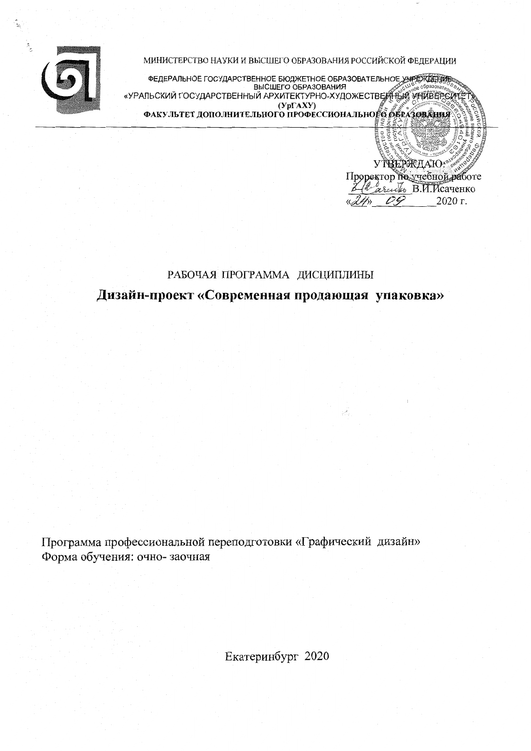

МИНИСТЕРСТВО НАУКИ И ВЫСШЕГО ОБРАЗОВАНИЯ РОССИЙСКОЙ ФЕДЕРАЦИИ

ФЕДЕРАЛЬНОЕ ГОСУДАРСТВЕННОЕ БЮДЖЕТНОЕ ОБРАЗОВАТЕЛЬНОЕ УЧРЕЖДЕНИЯ «УРАЛЬСКИЙ ГОСУДАРСТВЕННЫЙ АРХИТЕКТУРНО-ХУДОЖЕСТВЕННЫЙ УНИВЕРСИТЬ  $(Yp\Gamma A X Y)$ ФАКУЛЬТЕТ ДОПОЛНИТЕЛЬНОГО ПРОФЕССИОНАЛЬНОГО ОБРАЗОВАНИЯ

> УТВЕРЖЛАЮ Проректор по учебной работе *<i>arentho* B. H. HCayeHKO 2020 г. PG.

#### РАБОЧАЯ ПРОГРАММА ДИСЦИПЛИНЫ

Дизайн-проект «Современная продающая упаковка»

Программа профессиональной переподготовки «Графический дизайн» Форма обучения: очно-заочная

Екатеринбург 2020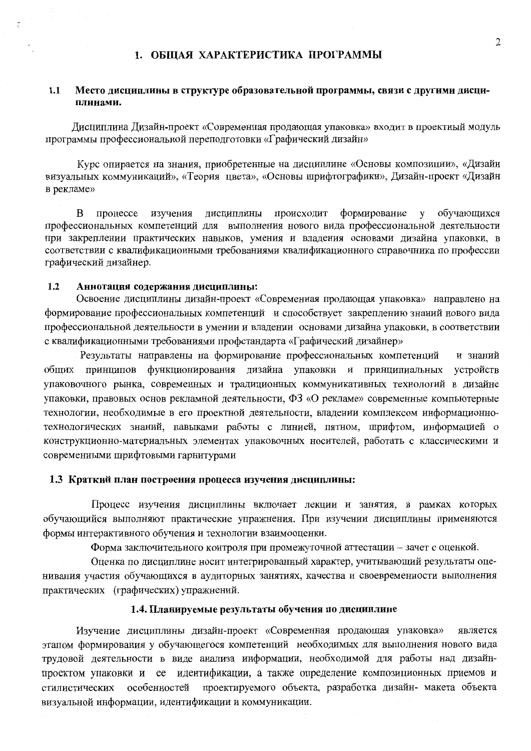### 1. ОБШАЯ ХАРАКТЕРИСТИКА ПРОГРАММЫ

#### $1.1$ Место дисциплины в структуре образовательной программы, связи с другими дисциплинами.

Дисциплина Дизайн-проект «Современная продающая упаковка» входит в проектный модуль программы профессиональной переподготовки «Графический дизайн»

Курс опирается на знания, приобретенные на дисциплине «Основы композиции», «Дизайн визуальных коммуникаций», «Теория цвета», «Основы шрифтографики», Дизайн-проект «Дизайн в рекламе»

 $\mathbf{B}$ процессе изучения дисциплины происходит формирование у обучающихся профессиональных компетенций для выполнения нового вида профессиональной деятельности при закреплении практических навыков, умения и владения основами дизайна упаковки, в соответствии с квалификационными требованиями квалификационного справочника по профессии графический дизайнер.

#### $1.2$ Аннотация содержания дисциплины:

Освоение дисциплины дизайн-проект «Современная продающая упаковка» направлено на формирование профессиональных компетенций и способствует закреплению знаний нового вида профессиональной деятельности в умении и владении основами дизайна упаковки, в соответствии с квалификационными требованиями профстандарта «Графический дизайнер»

Результаты направлены на формирование профессиональных компетенций и знаний общих принципов функционирования дизайна упаковки и принципиальных устройств упаковочного рынка, современных и традиционных коммуникативных технологий в дизайне упаковки, правовых основ рекламной деятельности, ФЗ «О рекламе» современные компьютерные технологии, необходимые в его проектной деятельности, владении комплексом информационнотехнологических знаний, навыками работы с линией, пятном, шрифтом, информацией о конструкционно-материальных элементах упаковочных носителей, работать с классическими и современными шрифтовыми гарнитурами

#### 1.3 Краткий план построения процесса изучения дисциплины:

Процесс изучения дисциплины включает лекции и занятия, в рамках которых обучающийся выполняют практические упражнения. При изучении дисциплины применяются формы интерактивного обучения и технологии взаимооценки.

Форма заключительного контроля при промежуточной аттестации - зачет с оценкой.

Оценка по дисциплине носит интегрированный характер, учитывающий результаты оценивания участия обучающихся в аудиторных занятиях, качества и своевременности выполнения практических (графических) упражнений.

#### 1.4. Планируемые результаты обучения по дисциплине

Изучение дисциплины дизайн-проект «Современная продающая упаковка» является этапом формирования у обучающегося компетенций необходимых для выполнения нового вида трудовой деятельности в виде анализа информации, необходимой для работы над дизайнпроектом упаковки и ее идентификации, а также определение композиционных приемов и проектируемого объекта, разработка дизайн- макета объекта стилистических особенностей визуальной информации, идентификации и коммуникации.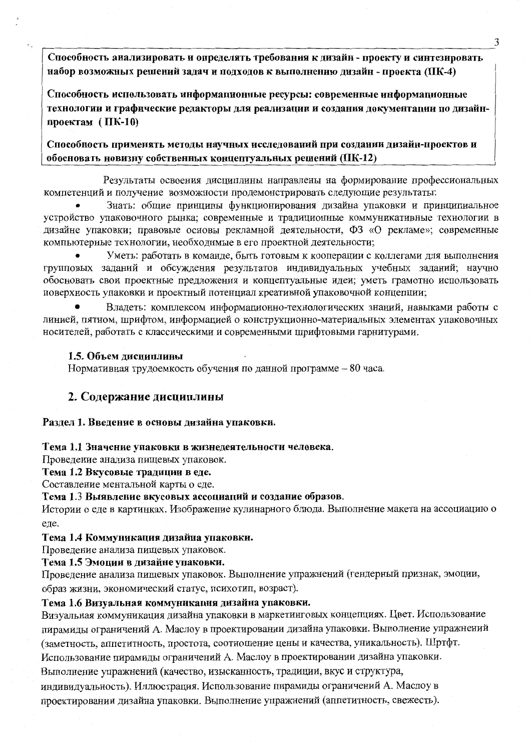Способность анализировать и определять требования к дизайн - проекту и синтезировать набор возможных решений задач и подходов к выполнению дизайн - проекта (ПК-4)

Способность использовать информационные ресурсы: современные информационные технологии и графические редакторы для реализации и создания документации по дизайнпроектам (ПК-10)

Способность применять методы научных исследований при создании дизайн-проектов и обосновать новизну собственных концептуальных решений (ПК-12)

Результаты освоения дисциплины направлены на формирование профессиональных компетенций и получение возможности продемонстрировать следующие результаты:

Знать: общие принципы функционирования дизайна упаковки и принципиальное устройство упаковочного рынка; современные и традиционные коммуникативные технологии в дизайне упаковки; правовые основы рекламной деятельности, ФЗ «О рекламе»; современные компьютерные технологии, необходимые в его проектной деятельности;

Уметь: работать в команде, быть готовым к кооперации с коллегами для выполнения групповых заданий и обсуждения результатов индивидуальных учебных заданий; научно обосновать свои проектные предложения и концептуальные идеи; уметь грамотно использовать поверхность упаковки и проектный потенциал креативной упаковочной концепции;

Владеть: комплексом информационно-технологических знаний, навыками работы с линией, пятном, шрифтом, информацией о конструкционно-материальных элементах упаковочных носителей, работать с классическими и современными шрифтовыми гарнитурами.

#### 1.5. Объем дисциплины

Нормативная трудоемкость обучения по данной программе - 80 часа.

#### 2. Содержание дисциплины

#### Раздел 1. Введение в основы дизайна упаковки.

#### Тема 1.1 Значение упаковки в жизнедеятельности человека.

Проведение анализа пищевых упаковок.

#### Тема 1.2 Вкусовые традиции в еде.

Составление ментальной карты о еде.

#### Тема 1.3 Выявление вкусовых ассоциаций и создание образов.

Истории о еде в картинках. Изображение кулинарного блюда. Выполнение макета на ассоциацию о еде.

#### Тема 1.4 Коммуникация дизайна упаковки.

Проведение анализа пищевых упаковок.

#### Тема 1.5 Эмоции в дизайне упаковки.

Проведение анализа пищевых упаковок. Выполнение упражнений (гендерный признак, эмоции, образ жизни, экономический статус, психотип, возраст).

#### Тема 1.6 Визуальная коммуникация дизайна упаковки.

Визуальная коммуникация дизайна упаковки в маркетинговых концепциях. Цвет. Использование пирамиды ограничений А. Маслоу в проектировании дизайна упаковки. Выполнение упражнений (заметность, аппетитность, простота, соотношение цены и качества, уникальность). Шртфт. Использование пирамиды ограничений А. Маслоу в проектировании дизайна упаковки.

Выполнение упражнений (качество, изысканность, традиции, вкус и структура,

индивидуальность). Иллюстрация. Использование пирамиды ограничений А. Маслоу в проектировании дизайна упаковки. Выполнение упражнений (аппетитность, свежесть).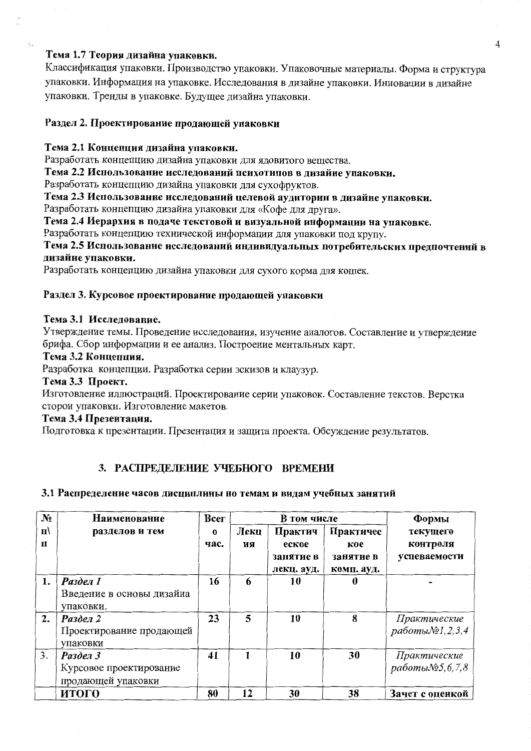### Тема 1.7 Теория дизайна упаковки.

Классификация упаковки. Производство упаковки. Упаковочные материалы. Форма и структура упаковки. Информация на упаковке. Исследования в дизайне упаковки. Инновации в дизайне упаковки. Тренды в упаковке. Будущее дизайна упаковки.

#### Раздел 2. Проектирование продающей упаковки

#### Тема 2.1 Концепция дизайна упаковки.

Разработать концепцию дизайна упаковки для ядовитого вещества.

Тема 2.2 Использование исследований психотипов в дизайне упаковки.

Разработать концепцию дизайна упаковки для сухофруктов.

Тема 2.3 Использование исследований целевой аудитории в дизайне упаковки.

Разработать концепцию дизайна упаковки для «Кофе для друга».

Тема 2.4 Иерархия в подаче текстовой и визуальной информации на упаковке.

Разработать концепцию технической информации для упаковки под крупу.

Тема 2.5 Использование исследований индивидуальных потребительских предпочтений в дизайне упаковки.

Разработать концепцию дизайна упаковки для сухого корма для кошек.

#### Раздел 3. Курсовое проектирование продающей упаковки

#### Тема 3.1 Исследование.

Утверждение темы. Проведение исследования, изучение аналогов. Составление и утверждение брифа. Сбор информации и ее анализ. Построение ментальных карт.

#### Тема 3.2 Концепция.

Разработка концепции. Разработка серии эскизов и клаузур.

#### Тема 3.3 Проект.

Изготовление иллюстраций. Проектирование серии упаковок. Составление текстов. Верстка сторон упаковки. Изготовление макетов.

#### Тема 3.4 Презентация.

Подготовка к презентации. Презентация и защита проекта. Обсуждение результатов.

## 3. РАСПРЕДЕЛЕНИЕ УЧЕБНОГО ВРЕМЕНИ

#### 3.1 Распределение часов дисциплины по темам и видам учебных занятий

| N <sub>2</sub> | Наименование              | Bcer     | В том числе |            |            | Формы           |
|----------------|---------------------------|----------|-------------|------------|------------|-----------------|
| $\mathbf{u}$   | разделов и тем            | $\bf{0}$ | Лекц        | Практич    | Практичес  | текущего        |
| $\mathbf{u}$   |                           | час.     | ия          | еское      | кое        | контроля        |
|                |                           |          |             | занятие в  | занятие в  | успеваемости    |
|                |                           |          |             | лекц. ауд. | комп. ауд. |                 |
| 1.             | Раздел 1                  | 16       | 6           | 10         |            |                 |
|                | Введение в основы дизайна |          |             |            |            |                 |
|                | упаковки.                 |          |             |            |            |                 |
| 2.             | Раздел 2                  | 23       | 5           | 10         | 8          | Практические    |
|                | Проектирование продающей  |          |             |            |            | работы№1,2,3,4  |
|                | упаковки                  |          |             |            |            |                 |
| 3.             | Раздел 3                  | 41       | 1           | 10         | 30         | Практические    |
|                | Курсовое проектирование   |          |             |            |            | работы№5,6,7,8  |
|                | продающей упаковки        |          |             |            |            |                 |
|                | итого                     | 80       | 12          | 30         | 38         | Зачет с оценкой |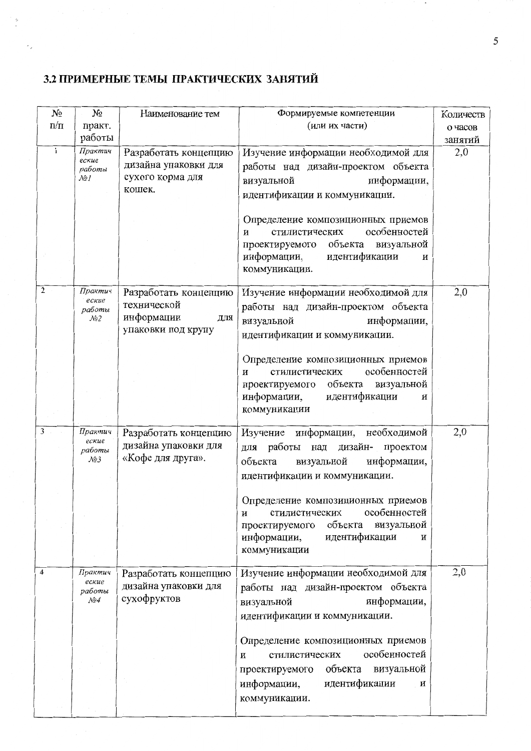## 3.2 ПРИМЕРНЫЕ ТЕМЫ ПРАКТИЧЕСКИХ ЗАНЯТИЙ

 $\mathbf{I}$ 

| $N_2$        | $N_2$            | Наименование тем          | Формируемые компетенции                                              | Количеств |
|--------------|------------------|---------------------------|----------------------------------------------------------------------|-----------|
| $\Pi/\Pi$    | практ.           |                           | (или их части)                                                       | о часов   |
|              | работы           |                           |                                                                      | занятий   |
| $\mathbf{1}$ | Практич<br>еские | Разработать концепцию     | Изучение информации необходимой для                                  | 2,0       |
|              | работы           | дизайна упаковки для      | работы над дизайн-проектом объекта                                   |           |
|              | No]              | сухого корма для          | информации,<br>визуальной                                            |           |
|              |                  | кошек.                    | идентификации и коммуникации.                                        |           |
|              |                  |                           |                                                                      |           |
|              |                  |                           | Определение композиционных приемов<br>особенностей<br>стилистических |           |
|              |                  |                           | и<br>объекта<br>визуальной<br>проектируемого                         |           |
|              |                  |                           | идентификации<br>информации,<br>и                                    |           |
|              |                  |                           | коммуникации.                                                        |           |
|              |                  |                           |                                                                      |           |
| 2            | Практич<br>еские | Разработать концепцию     | Изучение информации необходимой для                                  | 2,0       |
|              | работы           | технической<br>информации | работы над дизайн-проектом объекта                                   |           |
|              | Nº2              | ДЛЯ<br>упаковки под крупу | информации,<br>визуальной                                            |           |
|              |                  |                           | идентификации и коммуникации.                                        |           |
|              |                  |                           | Определение композиционных приемов                                   |           |
|              |                  |                           | особенностей<br>стилистических<br>И                                  |           |
|              |                  |                           | объекта<br>проектируемого<br>визуальной                              |           |
|              |                  |                           | идентификации<br>информации,<br>и                                    |           |
|              |                  |                           | коммуникации                                                         |           |
| 3            | Практич          | Разработать концепцию     | информации, необходимой<br>Изучение                                  | 2,0       |
|              | еские            | дизайна упаковки для      | работы над<br>дизайн-<br>проектом<br>для                             |           |
|              | работы<br>No3    | «Кофе для друга».         | информации,<br>объекта<br>визуальной                                 |           |
|              |                  |                           | идентификации и коммуникации.                                        |           |
|              |                  |                           |                                                                      |           |
|              |                  |                           | Определение композиционных приемов                                   |           |
|              |                  |                           | особенностей<br>стилистических<br>и                                  |           |
|              |                  |                           | визуальной<br>объекта<br>проектируемого                              |           |
|              |                  |                           | идентификации<br>информации,<br>И                                    |           |
|              |                  |                           | коммуникации                                                         |           |
| 4            | Практич          | Разработать концепцию     | Изучение информации необходимой для                                  | 2,0       |
|              | еские<br>работы  | дизайна упаковки для      | работы над дизайн-проектом объекта                                   |           |
|              | $\mathcal{N}$ 04 | сухофруктов               | информации,<br>визуальной                                            |           |
|              |                  |                           | идентификации и коммуникации.                                        |           |
|              |                  |                           |                                                                      |           |
|              |                  |                           | Определение композиционных приемов                                   |           |
|              |                  |                           | особенностей<br>стилистических<br>и                                  |           |
|              |                  |                           | проектируемого объекта<br>визуальной                                 |           |
|              |                  |                           | информации,<br>идентификации<br>и                                    |           |
|              |                  |                           | коммуникации.                                                        |           |
|              |                  |                           |                                                                      |           |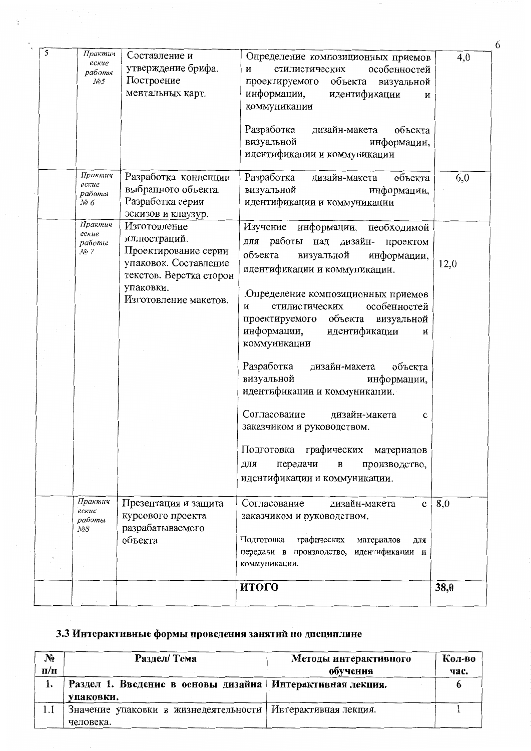| 5 | Практич<br>еские<br>работы<br>No5              | Составление и<br>утверждение брифа.<br>Построение<br>ментальных карт.                                                                          | Определение композиционных приемов<br>особенностей<br>стилистических<br>и<br>проектируемого объекта<br>визуальной<br>информации,<br>идентификации<br>и<br>коммуникации<br>Разработка<br>дизайн-макета<br>объекта<br>визуальной<br>информации,<br>идентификации и коммуникации                                                                                                                                                                                                                                                                                                                                                       | 4,0  |
|---|------------------------------------------------|------------------------------------------------------------------------------------------------------------------------------------------------|-------------------------------------------------------------------------------------------------------------------------------------------------------------------------------------------------------------------------------------------------------------------------------------------------------------------------------------------------------------------------------------------------------------------------------------------------------------------------------------------------------------------------------------------------------------------------------------------------------------------------------------|------|
|   | Практич<br>еские<br>работы<br>№6               | Разработка концепции<br>выбранного объекта.<br>Разработка серии<br>эскизов и клаузур.                                                          | Разработка<br>дизайн-макета<br>объекта<br>визуальной<br>информации,<br>идентификации и коммуникации                                                                                                                                                                                                                                                                                                                                                                                                                                                                                                                                 | 6,0  |
|   | Практич<br>еские<br>работы<br>$\mathcal{N}$ 27 | Изготовление<br>иллюстраций.<br>Проектирование серии<br>упаковок. Составление<br>текстов. Верстка сторон<br>упаковки.<br>Изготовление макетов. | Изучение<br>информации, необходимой<br>работы над дизайн-<br>ДЛЯ<br>проектом<br>объекта<br>информации,<br>визуальной<br>идентификации и коммуникации.<br>Определение композиционных приемов<br>особенностей<br>стилистических<br>и<br>объекта<br>визуальной<br>проектируемого<br>информации,<br>идентификации<br>и<br>коммуникации<br>Разработка<br>объекта<br>дизайн-макета<br>визуальной<br>информации,<br>идентификации и коммуникации.<br>Согласование<br>дизайн-макета<br>c<br>заказчиком и руководством.<br>графических<br>Подготовка<br>материалов<br>передачи<br>производство,<br>для<br>в<br>идентификации и коммуникации. | 12,0 |
|   | Практич<br>еские<br>работы<br>$N_28$           | Презентация и защита<br>курсового проекта<br>разрабатываемого<br>объекта                                                                       | Согласование<br>дизайн-макета<br>$\mathbf c$<br>заказчиком и руководством.<br>Подготовка<br>графических<br>материалов<br>ДЛЯ<br>идентификации и<br>передачи в производство,<br>коммуникации.                                                                                                                                                                                                                                                                                                                                                                                                                                        | 8,0  |
|   |                                                |                                                                                                                                                | итого                                                                                                                                                                                                                                                                                                                                                                                                                                                                                                                                                                                                                               | 38,0 |

6

# 3.3 Интерактивные формы проведения занятий по дисциплине

| N <sub>2</sub> | Раздел/ Тема                                              | Методы интерактивного | Кол-во |
|----------------|-----------------------------------------------------------|-----------------------|--------|
| $\Pi/\Pi$      |                                                           | обучения              | час.   |
| ł.             | Раздел 1. Введение в основы дизайна Интерактивная лекция. |                       |        |
|                | упаковки.                                                 |                       |        |
| 1.1            | Значение упаковки в жизнедеятельности                     | Интерактивная лекция. |        |
|                | человека.                                                 |                       |        |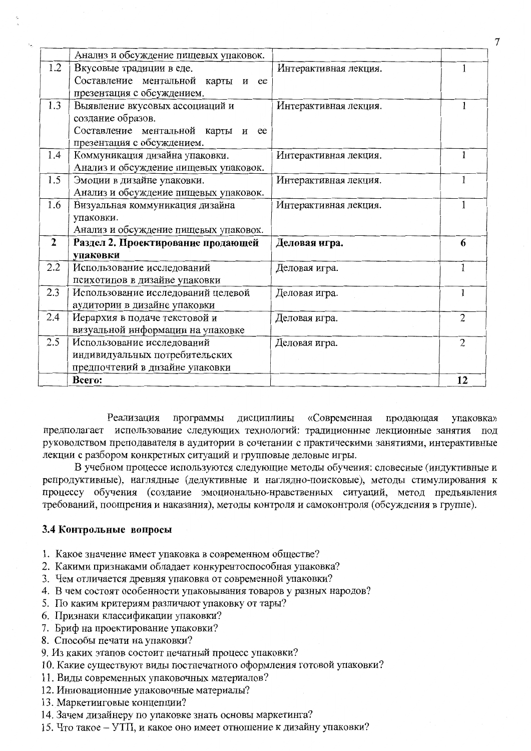|                | Анализ и обсуждение пищевых упаковок. |                       |                |
|----------------|---------------------------------------|-----------------------|----------------|
| 1.2            | Вкусовые традиции в еде.              | Интерактивная лекция. |                |
|                | Составление ментальной карты и ее     |                       |                |
|                | презентация с обсуждением.            |                       |                |
| 1.3            | Выявление вкусовых ассоциаций и       | Интерактивная лекция. |                |
|                | создание образов.                     |                       |                |
|                | Составление ментальной карты и<br>ee  |                       |                |
|                | презентация с обсуждением.            |                       |                |
| 1.4            | Коммуникация дизайна упаковки.        | Интерактивная лекция. |                |
|                | Анализ и обсуждение пищевых упаковок. |                       |                |
| 1.5            | Эмоции в дизайне упаковки.            | Интерактивная лекция. |                |
|                | Анализ и обсуждение пищевых упаковок. |                       |                |
| 1.6            | Визуальная коммуникация дизайна       | Интерактивная лекция. |                |
|                | упаковки.                             |                       |                |
|                | Анализ и обсуждение пищевых упаковок. |                       |                |
| $\overline{2}$ | Раздел 2. Проектирование продающей    | Деловая игра.         | 6              |
|                | упаковки                              |                       |                |
| 2.2            | Использование исследований            | Деловая игра.         | 1              |
|                | психотипов в дизайне упаковки         |                       |                |
| 2.3            | Использование исследований целевой    | Деловая игра.         | 1              |
|                | аудитории в дизайне упаковки          |                       |                |
| 2.4            | Иерархия в подаче текстовой и         | Деловая игра.         | $\overline{2}$ |
|                | визуальной информации на упаковке     |                       |                |
| 2.5            | Использование исследований            | Деловая игра.         | $\overline{2}$ |
|                | индивидуальных потребительских        |                       |                |
|                | предпочтений в дизайне упаковки       |                       |                |
|                | Bcero:                                |                       | 12             |

Реализация программы дисциплины «Современная продающая упаковка» предполагает использование следующих технологий: традиционные лекционные занятия под руководством преподавателя в аудитории в сочетании с практическими занятиями, интерактивные лекции с разбором конкретных ситуаций и групповые деловые игры.

В учебном процессе используются следующие методы обучения: словесные (индуктивные и репродуктивные), наглядные (дедуктивные и наглядно-поисковые), методы стимулирования к процессу обучения (создание эмоционально-нравственных ситуаций, метод предъявления требований, поощрения и наказания), методы контроля и самоконтроля (обсуждения в группе).

#### 3.4 Контрольные вопросы

- 1. Какое значение имеет упаковка в современном обществе?
- 2. Какими признаками обладает конкурентоспособная упаковка?
- 3. Чем отличается древняя упаковка от современной упаковки?
- 4. В чем состоят особенности упаковывания товаров у разных народов?
- 5. По каким критериям различают упаковку от тары?
- 6. Признаки классификации упаковки?
- 7. Бриф на проектирование упаковки?
- 8. Способы печати на упаковки?
- 9. Из каких этапов состоит печатный процесс упаковки?
- 10. Какие существуют виды постпечатного оформления готовой упаковки?
- 11. Виды современных упаковочных материалов?
- 12. Инновационные упаковочные материалы?
- 13. Маркетинговые концепции?
- 14. Зачем дизайнеру по упаковке знать основы маркетинга?
- 15. Что такое УТП, и какое оно имеет отношение к дизайну упаковки?

 $\overline{7}$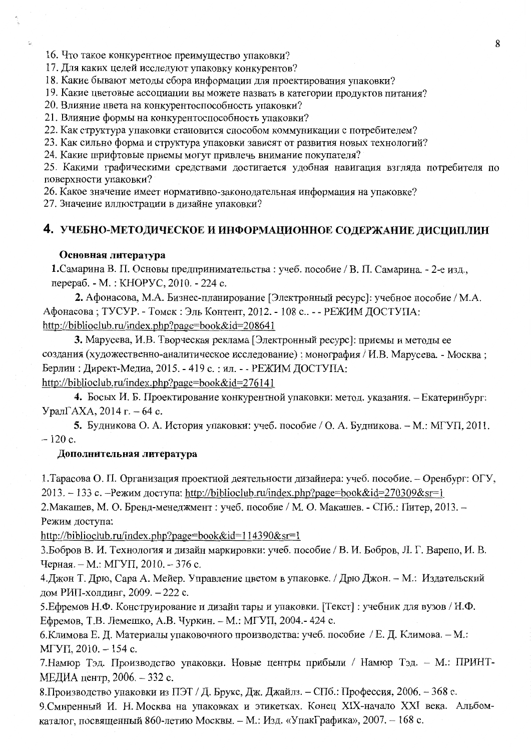16. Что такое конкурентное преимущество упаковки?

17. Для каких целей исследуют упаковку конкурентов?

18. Какие бывают методы сбора информации для проектирования упаковки?

19. Какие цветовые ассоциации вы можете назвать в категории продуктов питания?

20. Влияние цвета на конкурентоспособность упаковки?

21. Влияние формы на конкурентоспособность упаковки?

22. Как структура упаковки становится способом коммуникации с потребителем?

23. Как сильно форма и структура упаковки зависят от развития новых технологий?

24. Какие шрифтовые приемы могут привлечь внимание покупателя?

25. Какими графическими средствами достигается удобная навигация взгляда потребителя по поверхности упаковки?

26. Какое значение имеет нормативно-законодательная информация на упаковке?

27. Значение иллюстрации в дизайне упаковки?

#### 4. УЧЕБНО-МЕТОДИЧЕСКОЕ И ИНФОРМАЦИОННОЕ СОДЕРЖАНИЕ ДИСЦИПЛИН

#### Основная литература

1. Самарина В. П. Основы предпринимательства: учеб. пособие / В. П. Самарина. - 2-е изд., перераб. - М.: КНОРУС, 2010. - 224 с.

2. Афонасова, М.А. Бизнес-планирование [Электронный ресурс]: учебное пособие / М.А. Афонасова; ТУСУР. - Томск: Эль Контент, 2012. - 108 с.. - - РЕЖИМ ДОСТУПА: http://biblioclub.ru/index.php?page=book&id=208641

3. Марусева, И.В. Творческая реклама [Электронный ресурс]: приемы и методы ее создания (художественно-аналитическое исследование) : монография / И.В. Марусева. - Москва; Берлин: Директ-Медиа, 2015. - 419 с.: ил. - - РЕЖИМ ДОСТУПА: http://biblioclub.ru/index.php?page=book&id=276141

4. Босых И. Б. Проектирование конкурентной упаковки: метод. указания. - Екатеринбург: Урал $\Gamma$ АХА, 2014 г. – 64 с.

5. Будникова О. А. История упаковки: учеб. пособие / О. А. Будникова. - М.: МГУП, 2011.  $-120c$ .

#### Дополнительная литература

1. Тарасова О. П. Организация проектной деятельности дизайнера: учеб. пособие. - Оренбург: ОГУ, 2013. – 133 с. – Режим доступа: http://biblioclub.ru/index.php?page=book&id=270309&sr=1

2. Макашев, М. О. Бренд-менеджмент: учеб. пособие / М. О. Макашев. - СПб.: Питер, 2013. -Режим доступа:

http://biblioclub.ru/index.php?page=book&id=114390&sr=1

3. Бобров В. И. Технология и дизайн маркировки: учеб. пособие / В. И. Бобров, Л. Г. Варепо, И. В. Черная. – М.: МГУП, 2010. – 376 с.

4. Джон Т. Дрю, Сара А. Мейер. Управление цветом в упаковке. / Дрю Джон. - М.: Издательский дом РИП-холдинг, 2009. - 222 с.

5. Ефремов Н.Ф. Конструирование и дизайн тары и упаковки. [Текст] : учебник для вузов / Н.Ф. Ефремов, Т.В. Лемешко, А.В. Чуркин. - М.: МГУП, 2004.- 424 с.

6. Климова Е. Д. Материалы упаковочного производства: учеб. пособие / Е. Д. Климова. - М.:  $M\Gamma$ y<sub>II</sub>, 2010. – 154 c.

7. Намюр Тэд. Производство упаковки. Новые центры прибыли / Намюр Тэд. - М.: ПРИНТ-МЕДИА центр, 2006. - 332 с.

8. Производство упаковки из ПЭТ / Д. Брукс, Дж. Джайлз. - СПб.: Профессия, 2006. - 368 с.

9. Смиренный И. Н. Москва на упаковках и этикетках. Конец XIX-начало XXI века. Альбомкаталог, посвященный 860-летию Москвы. - М.: Изд. «УпакГрафика», 2007. - 168 с.